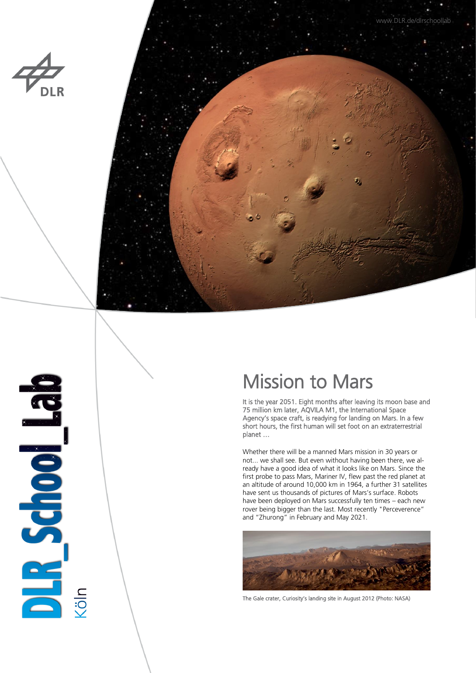



# 

# Mission to Mars

It is the year 2051. Eight months after leaving its moon base and 75 million km later, AQVILA M1, the International Space Agency's space craft, is readying for landing on Mars. In a few short hours, the first human will set foot on an extraterrestrial planet …

Whether there will be a manned Mars mission in 30 years or not... we shall see. But even without having been there, we already have a good idea of what it looks like on Mars. Since the first probe to pass Mars, Mariner IV, flew past the red planet at an altitude of around 10,000 km in 1964, a further 31 satellites have sent us thousands of pictures of Mars's surface. Robots have been deployed on Mars successfully ten times – each new rover being bigger than the last. Most recently "Perceverence" and "Zhurong" in February and May 2021.



The Gale crater, Curiosity's landing site in August 2012 (Photo: NASA)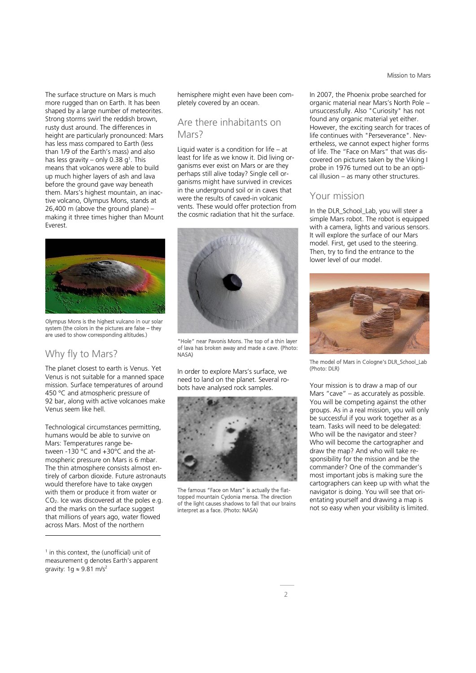The surface structure on Mars is much more rugged than on Earth. It has been shaped by a large number of meteorites. Strong storms swirl the reddish brown, rusty dust around. The differences in height are particularly pronounced: Mars has less mass compared to Earth (less than 1/9 of the Earth's mass) and also has less gravity – only 0.38  $g<sup>1</sup>$ . This means that volcanos were able to build up much higher layers of ash and lava before the ground gave way beneath them. Mars's highest mountain, an inactive volcano, Olympus Mons, stands at 26,400 m (above the ground plane) – making it three times higher than Mount Everest.



Olympus Mons is the highest vulcano in our solar system (the colors in the pictures are false – they are used to show corresponding altitudes.)

### Why fly to Mars?

The planet closest to earth is Venus. Yet Venus is not suitable for a manned space mission. Surface temperatures of around 450 °C and atmospheric pressure of 92 bar, along with active volcanoes make Venus seem like hell.

Technological circumstances permitting, humans would be able to survive on Mars: Temperatures range between -130 °C and +30°C and the atmospheric pressure on Mars is 6 mbar. The thin atmosphere consists almost entirely of carbon dioxide. Future astronauts would therefore have to take oxygen with them or produce it from water or  $CO<sub>2</sub>$ . Ice was discovered at the poles e.g. and the marks on the surface suggest that millions of years ago, water flowed across Mars. Most of the northern

1 in this context, the (unofficial) unit of measurement g denotes Earth's apparent gravity:  $1g \approx 9.81$  m/s<sup>2</sup>

-

hemisphere might even have been completely covered by an ocean.

### Are there inhabitants on Mars<sub>2</sub>

Liquid water is a condition for life  $-$  at least for life as we know it. Did living organisms ever exist on Mars or are they perhaps still alive today? Single cell organisms might have survived in crevices in the underground soil or in caves that were the results of caved-in volcanic vents. These would offer protection from the cosmic radiation that hit the surface.



"Hole" near Pavonis Mons. The top of a thin layer of lava has broken away and made a cave. (Photo: NASA)

In order to explore Mars's surface, we need to land on the planet. Several robots have analysed rock samples.



The famous "Face on Mars" is actually the flattopped mountain Cydonia mensa. The direction of the light causes shadows to fall that our brains interpret as a face. (Photo: NASA)

In 2007, the Phoenix probe searched for organic material near Mars's North Pole – unsuccessfully. Also "Curiosity" has not found any organic material yet either. However, the exciting search for traces of life continues with "Perseverance". Nevertheless, we cannot expect higher forms of life. The "Face on Mars" that was discovered on pictures taken by the Viking I probe in 1976 turned out to be an optical illusion – as many other structures.

### Your mission

In the DLR\_School\_Lab, you will steer a simple Mars robot. The robot is equipped with a camera, lights and various sensors. It will explore the surface of our Mars model. First, get used to the steering. Then, try to find the entrance to the lower level of our model.



The model of Mars in Cologne's DLR\_School\_Lab (Photo: DLR)

Your mission is to draw a map of our Mars "cave" – as accurately as possible. You will be competing against the other groups. As in a real mission, you will only be successful if you work together as a team. Tasks will need to be delegated: Who will be the navigator and steer? Who will become the cartographer and draw the map? And who will take responsibility for the mission and be the commander? One of the commander's most important jobs is making sure the cartographers can keep up with what the navigator is doing. You will see that orientating yourself and drawing a map is not so easy when your visibility is limited.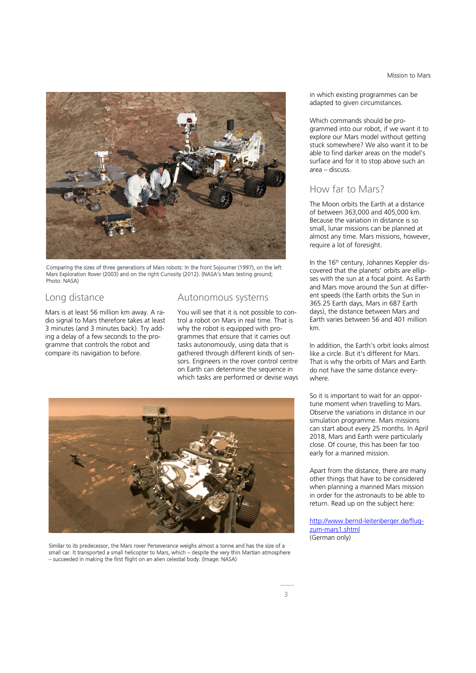

Comparing the sizes of three generations of Mars robots: In the front Sojourner (1997), on the left Mars Exploration Rover (2003) and on the right Curiosity (2012). (NASA's Mars testing ground; Photo: NASA)

### Long distance

Mars is at least 56 million km away. A radio signal to Mars therefore takes at least 3 minutes (and 3 minutes back). Try adding a delay of a few seconds to the programme that controls the robot and compare its navigation to before.

### Autonomous systems

You will see that it is not possible to control a robot on Mars in real time. That is why the robot is equipped with programmes that ensure that it carries out tasks autonomously, using data that is gathered through different kinds of sensors. Engineers in the rover control centre on Earth can determine the sequence in which tasks are performed or devise ways



Similar to its predecessor, the Mars rover Perseverance weighs almost a tonne and has the size of a small car. It transported a small helicopter to Mars, which – despite the very thin Martian atmosphere – succeeded in making the first flight on an alien celestial body. (Image: NASA)

in which existing programmes can be adapted to given circumstances.

Which commands should be programmed into our robot, if we want it to explore our Mars model without getting stuck somewhere? We also want it to be able to find darker areas on the model's surface and for it to stop above such an area – discuss.

### How far to Mars?

The Moon orbits the Earth at a distance of between 363,000 and 405,000 km. Because the variation in distance is so small, lunar missions can be planned at almost any time. Mars missions, however, require a lot of foresight.

In the 16<sup>th</sup> century, Johannes Keppler discovered that the planets' orbits are ellipses with the sun at a focal point. As Earth and Mars move around the Sun at different speeds (the Earth orbits the Sun in 365.25 Earth days, Mars in 687 Earth days), the distance between Mars and Earth varies between 56 and 401 million km.

In addition, the Earth's orbit looks almost like a circle. But it's different for Mars. That is why the orbits of Mars and Earth do not have the same distance everywhere.

So it is important to wait for an opportune moment when travelling to Mars. Observe the variations in distance in our simulation programme. Mars missions can start about every 25 months. In April 2018, Mars and Earth were particularly close. Of course, this has been far too early for a manned mission.

Apart from the distance, there are many other things that have to be considered when planning a manned Mars mission in order for the astronauts to be able to return. Read up on the subject here:

[http://www.bernd-leitenberger.de/flug](http://www.bernd-leitenberger.de/flug-zum-mars1.shtml)[zum-mars1.shtml](http://www.bernd-leitenberger.de/flug-zum-mars1.shtml) (German only)

### Mission to Mars